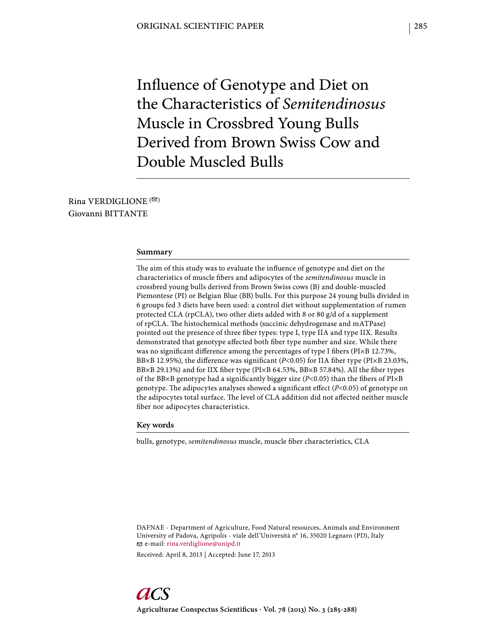Influence of Genotype and Diet on the Characteristics of *Semitendinosus* Muscle in Crossbred Young Bulls Derived from Brown Swiss Cow and Double Muscled Bulls

Rina VERDIGLIONE  $( \heartsuit )$ Giovanni BITTANTE

#### **Summary**

The aim of this study was to evaluate the influence of genotype and diet on the characteristics of muscle fibers and adipocytes of the *semitendinosus* muscle in crossbred young bulls derived from Brown Swiss cows (B) and double-muscled Piemontese (PI) or Belgian Blue (BB) bulls. For this purpose 24 young bulls divided in 6 groups fed 3 diets have been used: a control diet without supplementation of rumen protected CLA (rpCLA), two other diets added with 8 or 80 g/d of a supplement of rpCLA. The histochemical methods (succinic dehydrogenase and mATPase) pointed out the presence of three fiber types: type I, type IIA and type IIX. Results demonstrated that genotype affected both fiber type number and size. While there was no significant difference among the percentages of type I fibers ( $P1 \times B$  12.73%, BB×B 12.95%), the difference was significant (*P*<0.05) for IIA fiber type (PI×B 23.03%, BB×B 29.13%) and for IIX fiber type (PI×B 64.53%, BB×B 57.84%). All the fiber types of the BB×B genotype had a significantly bigger size (*P*<0.05) than the fibers of PI×B genotype. The adipocytes analyses showed a significant effect (*P*<0.05) of genotype on the adipocytes total surface. The level of CLA addition did not affected neither muscle fiber nor adipocytes characteristics.

## **Key words**

bulls, genotype, *semitendinosus* muscle, muscle fiber characteristics, CLA

DAFNAE - Department of Agriculture, Food Natural resources, Animals and Environment University of Padova, Agripolis - viale dell'Università n° 16, 35020 Legnaro (PD), Italy e-mail: rina.verdiglione@unipd.it

Received: April 8, 2013 | Accepted: June 17, 2013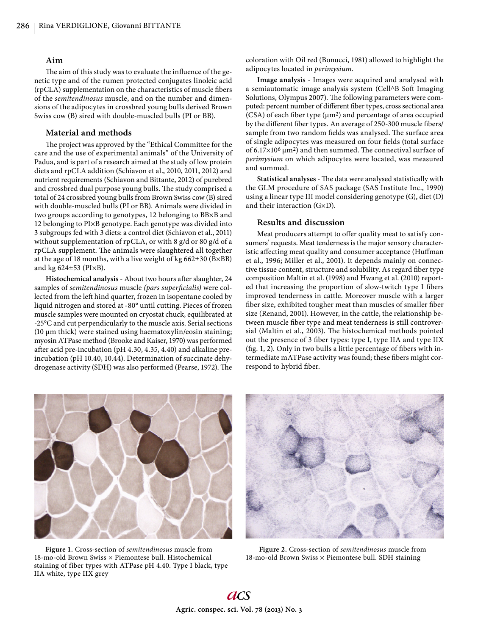# **Aim**

The aim of this study was to evaluate the influence of the genetic type and of the rumen protected conjugates linoleic acid (rpCLA) supplementation on the characteristics of muscle fibers of the *semitendinosus* muscle, and on the number and dimensions of the adipocytes in crossbred young bulls derived Brown Swiss cow (B) sired with double-muscled bulls (PI or BB).

# **Material and methods**

The project was approved by the "Ethical Committee for the care and the use of experimental animals" of the University of Padua, and is part of a research aimed at the study of low protein diets and rpCLA addition (Schiavon et al., 2010, 2011, 2012) and nutrient requirements (Schiavon and Bittante, 2012) of purebred and crossbred dual purpose young bulls. The study comprised a total of 24 crossbred young bulls from Brown Swiss cow (B) sired with double-muscled bulls (PI or BB). Animals were divided in two groups according to genotypes, 12 belonging to BB×B and 12 belonging to PI×B genotype. Each genotype was divided into 3 subgroups fed with 3 diets: a control diet (Schiavon et al., 2011) without supplementation of rpCLA, or with 8 g/d or 80 g/d of a rpCLA supplement. The animals were slaughtered all together at the age of 18 months, with a live weight of kg 662±30 (B×BB) and kg  $624\pm53$  (PI $\times$ B).

**Histochemical analysis** - About two hours after slaughter, 24 samples of *semitendinosus* muscle (pars *superficialis*) were collected from the left hind quarter, frozen in isopentane cooled by liquid nitrogen and stored at -80° until cutting. Pieces of frozen muscle samples were mounted on cryostat chuck, equilibrated at -25°C and cut perpendicularly to the muscle axis. Serial sections (10 μm thick) were stained using haematoxylin/eosin staining; myosin ATPase method (Brooke and Kaiser, 1970) was performed after acid pre-incubation (pH 4.30, 4.35, 4.40) and alkaline preincubation (pH 10.40, 10.44). Determination of succinate dehydrogenase activity (SDH) was also performed (Pearse, 1972). The coloration with Oil red (Bonucci, 1981) allowed to highlight the adipocytes located in *perimysium*.

**Image analysis** - Images were acquired and analysed with a semiautomatic image analysis system (Cell^B Soft Imaging Solutions, Olympus 2007). The following parameters were computed: percent number of different fiber types, cross sectional area (CSA) of each fiber type  $(\mu m^2)$  and percentage of area occupied by the different fiber types. An average of 250-300 muscle fibers/ sample from two random fields was analysed. The surface area of single adipocytes was measured on four fields (total surface of 6.17×10<sup>6</sup> μm<sup>2</sup>) and then summed. The connectival surface of *perimysium* on which adipocytes were located, was measured and summed.

Statistical analyses - The data were analysed statistically with the GLM procedure of SAS package (SAS Institute Inc., 1990) using a linear type III model considering genotype (G), diet (D) and their interaction (G×D).

# **Results and discussion**

Meat producers attempt to offer quality meat to satisfy consumers' requests. Meat tenderness is the major sensory characteristic affecting meat quality and consumer acceptance (Huffman et al., 1996; Miller et al., 2001). It depends mainly on connective tissue content, structure and solubility. As regard fiber type composition Maltin et al. (1998) and Hwang et al. (2010) reported that increasing the proportion of slow-twitch type I fibers improved tenderness in cattle. Moreover muscle with a larger fiber size, exhibited tougher meat than muscles of smaller fiber size (Renand, 2001). However, in the cattle, the relationship between muscle fiber type and meat tenderness is still controversial (Maltin et al., 2003). The histochemical methods pointed out the presence of 3 fiber types: type I, type IIA and type IIX (fig. 1, 2). Only in two bulls a little percentage of fibers with intermediate mATPase activity was found; these fibers might correspond to hybrid fiber.



**Figure 1.** Cross-section of *semitendinosus* muscle from 18-mo-old Brown Swiss × Piemontese bull. Histochemical staining of fiber types with ATPase pH 4.40. Type I black, type IIA white, type IIX grey



 **Figure 2.** Cross-section of *semitendinosus* muscle from 18-mo-old Brown Swiss × Piemontese bull. SDH staining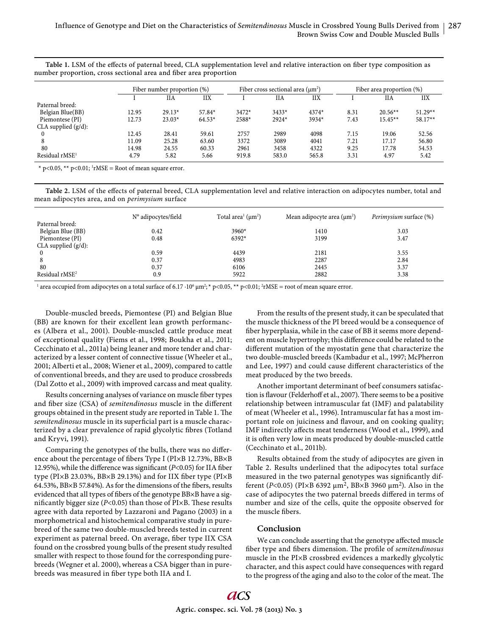Table 1. LSM of the effects of paternal breed, CLA supplementation level and relative interaction on fiber type composition as number proportion, cross sectional area and fiber area proportion

|                        | Fiber number proportion (%) |          |          | Fiber cross sectional area $(\mu m^2)$ |         |         | Fiber area proportion (%) |           |            |
|------------------------|-----------------------------|----------|----------|----------------------------------------|---------|---------|---------------------------|-----------|------------|
|                        |                             | НA       | IIX      |                                        | НA      | IIX     |                           | НA        | <b>IIX</b> |
| Paternal breed:        |                             |          |          |                                        |         |         |                           |           |            |
| Belgian Blue(BB)       | 12.95                       | $29.13*$ | $57.84*$ | $3472*$                                | $3433*$ | $4374*$ | 8.31                      | $20.56**$ | $51.29**$  |
| Piemontese (PI)        | 12.73                       | $23.03*$ | $64.53*$ | 2588*                                  | 2924*   | 3934*   | 7.43                      | $15.45**$ | $58.17**$  |
| CLA supplied $(g/d)$ : |                             |          |          |                                        |         |         |                           |           |            |
| 0                      | 12.45                       | 28.41    | 59.61    | 2757                                   | 2989    | 4098    | 7.15                      | 19.06     | 52.56      |
| 8                      | 11.09                       | 25.28    | 63.60    | 3372                                   | 3089    | 4041    | 7.21                      | 17.17     | 56.80      |
| 80                     | 14.98                       | 24.55    | 60.33    | 2961                                   | 3458    | 4322    | 9.25                      | 17.78     | 54.53      |
| Residual $rMSE1$       | 4.79                        | 5.82     | 5.66     | 919.8                                  | 583.0   | 565.8   | 3.31                      | 4.97      | 5.42       |

\*  $p$ <0.05, \*\*  $p$ <0.01; <sup>1</sup>rMSE = Root of mean square error.

Table 2. LSM of the effects of paternal breed, CLA supplementation level and relative interaction on adipocytes number, total and mean adipocytes area, and on *perimysium* surface

|                            | N° adipocytes/field | Total area <sup>1</sup> ( $\mu$ m <sup>2</sup> ) | Mean adipocyte area $(\mu m^2)$ | <i>Perimysium</i> surface (%) |
|----------------------------|---------------------|--------------------------------------------------|---------------------------------|-------------------------------|
| Paternal breed:            |                     |                                                  |                                 |                               |
| Belgian Blue (BB)          | 0.42                | 3960*                                            | 1410                            | 3.03                          |
| Piemontese (PI)            | 0.48                | $6392*$                                          | 3199                            | 3.47                          |
| CLA supplied $(g/d)$ :     |                     |                                                  |                                 |                               |
|                            | 0.59                | 4439                                             | 2181                            | 3.55                          |
|                            | 0.37                | 4983                                             | 2287                            | 2.84                          |
| 80                         | 0.37                | 6106                                             | 2445                            | 3.37                          |
| Residual rMSE <sup>2</sup> | 0.9                 | 5922                                             | 2882                            | 3.38                          |

<sup>1</sup> area occupied from adipocytes on a total surface of 6.17  $\cdot 10^6$   $\mu$ m<sup>2</sup>; \* p<0.05, \*\* p<0.01; <sup>2</sup>rMSE = root of mean square error.

Double-muscled breeds, Piemontese (PI) and Belgian Blue (BB) are known for their excellent lean growth performances (Albera et al., 2001). Double-muscled cattle produce meat of exceptional quality (Fiems et al., 1998; Boukha et al., 2011; Cecchinato et al., 2011a) being leaner and more tender and characterized by a lesser content of connective tissue (Wheeler et al., 2001; Alberti et al., 2008; Wiener et al., 2009), compared to cattle of conventional breeds, and they are used to produce crossbreds (Dal Zotto et al., 2009) with improved carcass and meat quality.

Results concerning analyses of variance on muscle fiber types and fiber size (CSA) of *semitendinosus* muscle in the different groups obtained in the present study are reported in Table 1. The *semitendinosus* muscle in its superficial part is a muscle characterized by a clear prevalence of rapid glycolytic fibres (Totland and Kryvi, 1991).

Comparing the genotypes of the bulls, there was no difference about the percentage of fibers Type I (PI×B 12.73%, BB×B 12.95%), while the difference was significant (*P*<0.05) for IIA fiber type (PI×B 23.03%, BB×B 29.13%) and for IIX fiber type (PI×B 64.53%, BB $\times$ B 57.84%). As for the dimensions of the fibers, results evidenced that all types of fibers of the genotype BB×B have a significantly bigger size ( $P$ <0.05) than those of  $P1 \times B$ . These results agree with data reported by Lazzaroni and Pagano (2003) in a morphometrical and histochemical comparative study in purebreed of the same two double-muscled breeds tested in current experiment as paternal breed. On average, fiber type IIX CSA found on the crossbred young bulls of the present study resulted smaller with respect to those found for the corresponding purebreeds (Wegner et al. 2000), whereas a CSA bigger than in purebreeds was measured in fiber type both IIA and I.

From the results of the present study, it can be speculated that the muscle thickness of the PI breed would be a consequence of fiber hyperplasia, while in the case of BB it seems more dependent on muscle hypertrophy; this difference could be related to the different mutation of the myostatin gene that characterize the two double-muscled breeds (Kambadur et al., 1997; McPherron and Lee, 1997) and could cause different characteristics of the meat produced by the two breeds.

Another important determinant of beef consumers satisfaction is flavour (Felderhoff et al., 2007). There seems to be a positive relationship between intramuscular fat (IMF) and palatability of meat (Wheeler et al., 1996). Intramuscular fat has a most important role on juiciness and flavour, and on cooking quality; IMF indirectly affects meat tenderness (Wood et al., 1999), and it is often very low in meats produced by double-muscled cattle (Cecchinato et al., 2011b).

Results obtained from the study of adipocytes are given in Table 2. Results underlined that the adipocytes total surface measured in the two paternal genotypes was significantly different (*P*<0.05) (PI×B 6392 μm2, BB×B 3960 μm2). Also in the case of adipocytes the two paternal breeds differed in terms of number and size of the cells, quite the opposite observed for the muscle fibers.

## **Conclusion**

We can conclude asserting that the genotype affected muscle fiber type and fibers dimension. The profile of *semitendinosus* muscle in the PI×B crossbred evidences a markedly glycolytic character, and this aspect could have consequences with regard to the progress of the aging and also to the color of the meat. The